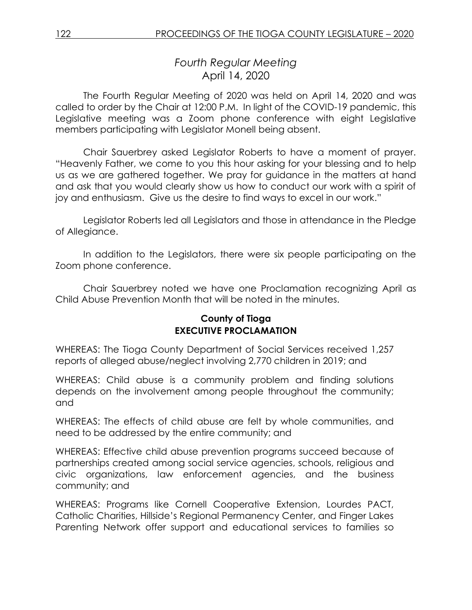# *Fourth Regular Meeting* April 14, 2020

The Fourth Regular Meeting of 2020 was held on April 14, 2020 and was called to order by the Chair at 12:00 P.M. In light of the COVID-19 pandemic, this Legislative meeting was a Zoom phone conference with eight Legislative members participating with Legislator Monell being absent.

Chair Sauerbrey asked Legislator Roberts to have a moment of prayer. "Heavenly Father, we come to you this hour asking for your blessing and to help us as we are gathered together. We pray for guidance in the matters at hand and ask that you would clearly show us how to conduct our work with a spirit of joy and enthusiasm. Give us the desire to find ways to excel in our work."

Legislator Roberts led all Legislators and those in attendance in the Pledge of Allegiance.

In addition to the Legislators, there were six people participating on the Zoom phone conference.

Chair Sauerbrey noted we have one Proclamation recognizing April as Child Abuse Prevention Month that will be noted in the minutes.

## **County of Tioga EXECUTIVE PROCLAMATION**

WHEREAS: The Tioga County Department of Social Services received 1,257 reports of alleged abuse/neglect involving 2,770 children in 2019; and

WHEREAS: Child abuse is a community problem and finding solutions depends on the involvement among people throughout the community; and

WHEREAS: The effects of child abuse are felt by whole communities, and need to be addressed by the entire community; and

WHEREAS: Effective child abuse prevention programs succeed because of partnerships created among social service agencies, schools, religious and civic organizations, law enforcement agencies, and the business community; and

WHEREAS: Programs like Cornell Cooperative Extension, Lourdes PACT, Catholic Charities, Hillside's Regional Permanency Center, and Finger Lakes Parenting Network offer support and educational services to families so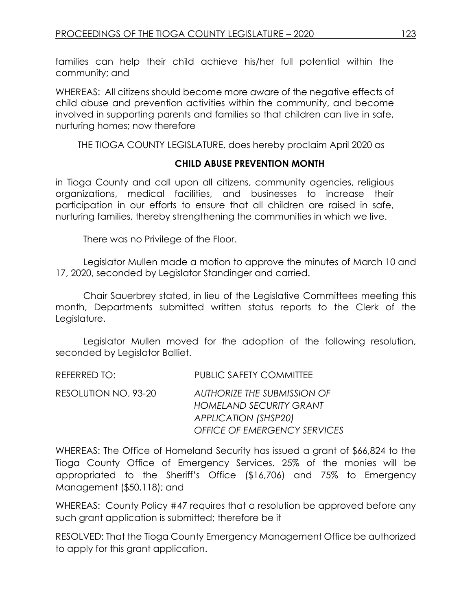families can help their child achieve his/her full potential within the community; and

WHEREAS: All citizens should become more aware of the negative effects of child abuse and prevention activities within the community, and become involved in supporting parents and families so that children can live in safe, nurturing homes; now therefore

THE TIOGA COUNTY LEGISLATURE, does hereby proclaim April 2020 as

## **CHILD ABUSE PREVENTION MONTH**

in Tioga County and call upon all citizens, community agencies, religious organizations, medical facilities, and businesses to increase their participation in our efforts to ensure that all children are raised in safe, nurturing families, thereby strengthening the communities in which we live.

There was no Privilege of the Floor.

Legislator Mullen made a motion to approve the minutes of March 10 and 17, 2020, seconded by Legislator Standinger and carried.

Chair Sauerbrey stated, in lieu of the Legislative Committees meeting this month, Departments submitted written status reports to the Clerk of the Legislature.

Legislator Mullen moved for the adoption of the following resolution, seconded by Legislator Balliet.

| REFERRED TO:         | <b>PUBLIC SAFETY COMMITTEE</b>                                                                                                      |
|----------------------|-------------------------------------------------------------------------------------------------------------------------------------|
| RESOLUTION NO. 93-20 | AUTHORIZE THE SUBMISSION OF<br><b>HOMELAND SECURITY GRANT</b><br><b>APPLICATION (SHSP20)</b><br><b>OFFICE OF EMERGENCY SERVICES</b> |

WHEREAS: The Office of Homeland Security has issued a grant of \$66,824 to the Tioga County Office of Emergency Services. 25% of the monies will be appropriated to the Sheriff's Office (\$16,706) and 75% to Emergency Management (\$50,118); and

WHEREAS: County Policy #47 requires that a resolution be approved before any such grant application is submitted; therefore be it

RESOLVED: That the Tioga County Emergency Management Office be authorized to apply for this grant application.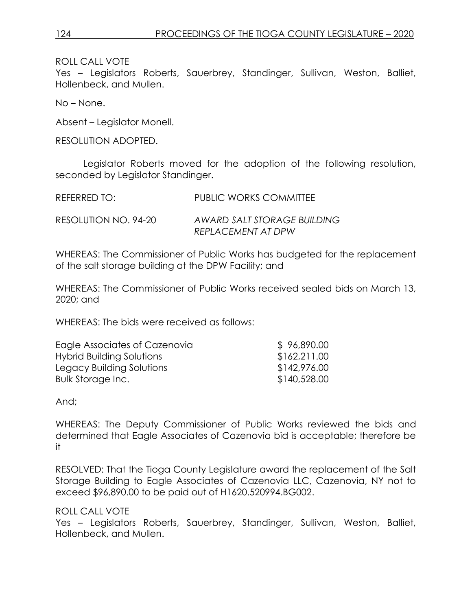ROLL CALL VOTE

Yes – Legislators Roberts, Sauerbrey, Standinger, Sullivan, Weston, Balliet, Hollenbeck, and Mullen.

No – None.

Absent – Legislator Monell.

RESOLUTION ADOPTED.

Legislator Roberts moved for the adoption of the following resolution, seconded by Legislator Standinger.

| REFERRED TO:         | PUBLIC WORKS COMMITTEE                            |
|----------------------|---------------------------------------------------|
| RESOLUTION NO. 94-20 | AWARD SALT STORAGE BUILDING<br>REPLACEMENT AT DPW |

WHEREAS: The Commissioner of Public Works has budgeted for the replacement of the salt storage building at the DPW Facility; and

WHEREAS: The Commissioner of Public Works received sealed bids on March 13, 2020; and

WHEREAS: The bids were received as follows:

| Eagle Associates of Cazenovia | \$96,890.00  |
|-------------------------------|--------------|
| Hybrid Building Solutions     | \$162,211.00 |
| Legacy Building Solutions     | \$142,976.00 |
| Bulk Storage Inc.             | \$140,528.00 |

And;

WHEREAS: The Deputy Commissioner of Public Works reviewed the bids and determined that Eagle Associates of Cazenovia bid is acceptable; therefore be it

RESOLVED: That the Tioga County Legislature award the replacement of the Salt Storage Building to Eagle Associates of Cazenovia LLC, Cazenovia, NY not to exceed \$96,890.00 to be paid out of H1620.520994.BG002.

#### ROLL CALL VOTE

Yes – Legislators Roberts, Sauerbrey, Standinger, Sullivan, Weston, Balliet, Hollenbeck, and Mullen.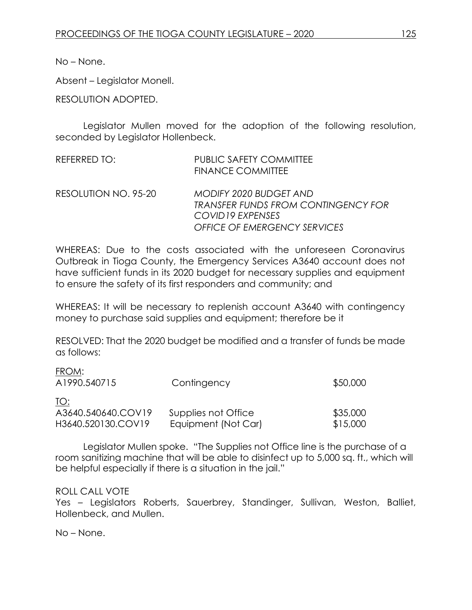No – None.

Absent – Legislator Monell.

RESOLUTION ADOPTED.

Legislator Mullen moved for the adoption of the following resolution, seconded by Legislator Hollenbeck.

| REFERRED TO:         | <b>PUBLIC SAFETY COMMITTEE</b><br><b>FINANCE COMMITTEE</b>                                                         |
|----------------------|--------------------------------------------------------------------------------------------------------------------|
| RESOLUTION NO. 95-20 | MODIFY 2020 BUDGET AND<br>TRANSFER FUNDS FROM CONTINGENCY FOR<br>COVID 19 EXPENSES<br>OFFICE OF EMERGENCY SERVICES |

WHEREAS: Due to the costs associated with the unforeseen Coronavirus Outbreak in Tioga County, the Emergency Services A3640 account does not have sufficient funds in its 2020 budget for necessary supplies and equipment to ensure the safety of its first responders and community; and

WHEREAS: It will be necessary to replenish account A3640 with contingency money to purchase said supplies and equipment; therefore be it

RESOLVED: That the 2020 budget be modified and a transfer of funds be made as follows:

FROM:

| A1990.540715       | Contingency         | \$50,000 |
|--------------------|---------------------|----------|
| TO:                |                     |          |
| A3640.540640.COV19 | Supplies not Office | \$35,000 |
| H3640.520130.COV19 | Equipment (Not Car) | \$15,000 |

Legislator Mullen spoke. "The Supplies not Office line is the purchase of a room sanitizing machine that will be able to disinfect up to 5,000 sq. ft., which will be helpful especially if there is a situation in the jail."

#### ROLL CALL VOTE

Yes – Legislators Roberts, Sauerbrey, Standinger, Sullivan, Weston, Balliet, Hollenbeck, and Mullen.

No – None.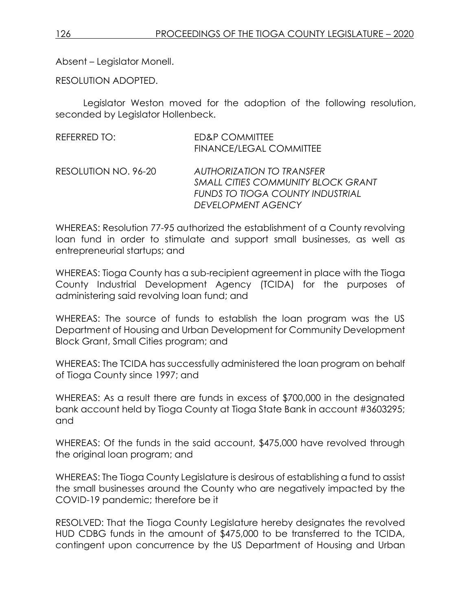Absent – Legislator Monell.

RESOLUTION ADOPTED.

Legislator Weston moved for the adoption of the following resolution, seconded by Legislator Hollenbeck.

| REFERRED TO:         | <b>ED&amp;P COMMITTEE</b><br><b>FINANCE/LEGAL COMMITTEE</b>                                                                                           |
|----------------------|-------------------------------------------------------------------------------------------------------------------------------------------------------|
| RESOLUTION NO. 96-20 | <b>AUTHORIZATION TO TRANSFER</b><br><b>SMALL CITIES COMMUNITY BLOCK GRANT</b><br><b>FUNDS TO TIOGA COUNTY INDUSTRIAL</b><br><b>DEVELOPMENT AGENCY</b> |

WHEREAS: Resolution 77-95 authorized the establishment of a County revolving loan fund in order to stimulate and support small businesses, as well as entrepreneurial startups; and

WHEREAS: Tioga County has a sub-recipient agreement in place with the Tioga County Industrial Development Agency (TCIDA) for the purposes of administering said revolving loan fund; and

WHEREAS: The source of funds to establish the loan program was the US Department of Housing and Urban Development for Community Development Block Grant, Small Cities program; and

WHEREAS: The TCIDA has successfully administered the loan program on behalf of Tioga County since 1997; and

WHEREAS: As a result there are funds in excess of \$700,000 in the designated bank account held by Tioga County at Tioga State Bank in account #3603295; and

WHEREAS: Of the funds in the said account, \$475,000 have revolved through the original loan program; and

WHEREAS: The Tioga County Legislature is desirous of establishing a fund to assist the small businesses around the County who are negatively impacted by the COVID-19 pandemic; therefore be it

RESOLVED: That the Tioga County Legislature hereby designates the revolved HUD CDBG funds in the amount of \$475,000 to be transferred to the TCIDA, contingent upon concurrence by the US Department of Housing and Urban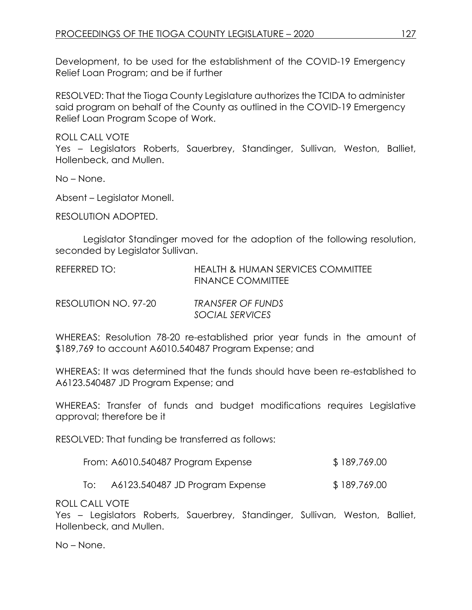Development, to be used for the establishment of the COVID-19 Emergency Relief Loan Program; and be if further

RESOLVED: That the Tioga County Legislature authorizes the TCIDA to administer said program on behalf of the County as outlined in the COVID-19 Emergency Relief Loan Program Scope of Work.

ROLL CALL VOTE

Yes – Legislators Roberts, Sauerbrey, Standinger, Sullivan, Weston, Balliet, Hollenbeck, and Mullen.

No – None.

Absent – Legislator Monell.

RESOLUTION ADOPTED.

Legislator Standinger moved for the adoption of the following resolution, seconded by Legislator Sullivan.

| REFERRED TO:         | <b>HEALTH &amp; HUMAN SERVICES COMMITTEE</b><br><b>FINANCE COMMITTEE</b> |
|----------------------|--------------------------------------------------------------------------|
| RESOLUTION NO. 97-20 | TRANSFER OF FUNDS<br>SOCIAL SERVICES                                     |

WHEREAS: Resolution 78-20 re-established prior year funds in the amount of \$189,769 to account A6010.540487 Program Expense; and

WHEREAS: It was determined that the funds should have been re-established to A6123.540487 JD Program Expense; and

WHEREAS: Transfer of funds and budget modifications requires Legislative approval; therefore be it

RESOLVED: That funding be transferred as follows:

| From: A6010.540487 Program Expense | \$189,769.00 |
|------------------------------------|--------------|
|------------------------------------|--------------|

To: A6123.540487 JD Program Expense \$ 189,769.00

ROLL CALL VOTE

Yes – Legislators Roberts, Sauerbrey, Standinger, Sullivan, Weston, Balliet, Hollenbeck, and Mullen.

No – None.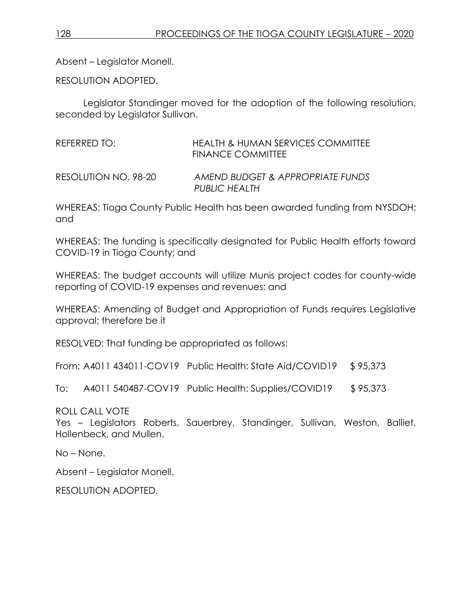Absent – Legislator Monell.

RESOLUTION ADOPTED.

Legislator Standinger moved for the adoption of the following resolution, seconded by Legislator Sullivan.

REFERRED TO: HEALTH & HUMAN SERVICES COMMITTEE FINANCE COMMITTEE

RESOLUTION NO. 98-20 *AMEND BUDGET & APPROPRIATE FUNDS PUBLIC HEALTH*

WHEREAS: Tioga County Public Health has been awarded funding from NYSDOH; and

WHEREAS: The funding is specifically designated for Public Health efforts toward COVID-19 in Tioga County; and

WHEREAS: The budget accounts will utilize Munis project codes for county-wide reporting of COVID-19 expenses and revenues; and

WHEREAS: Amending of Budget and Appropriation of Funds requires Legislative approval; therefore be it

RESOLVED: That funding be appropriated as follows:

From: A4011 434011-COV19 Public Health: State Aid/COVID19 \$ 95,373

To: A4011 540487-COV19 Public Health: Supplies/COVID19 \$95,373

ROLL CALL VOTE

Yes – Legislators Roberts, Sauerbrey, Standinger, Sullivan, Weston, Balliet, Hollenbeck, and Mullen.

No – None.

Absent – Legislator Monell.

RESOLUTION ADOPTED.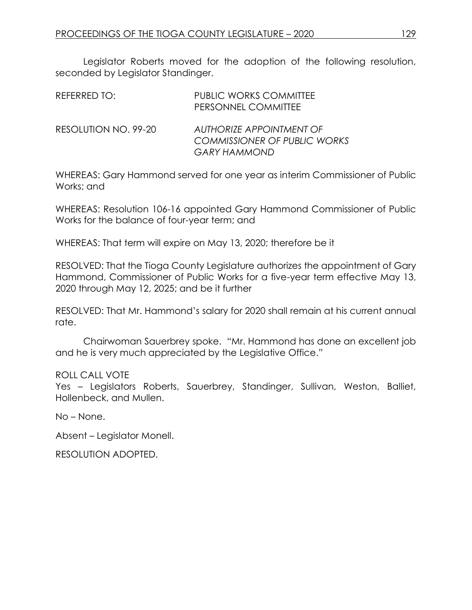Legislator Roberts moved for the adoption of the following resolution, seconded by Legislator Standinger.

| REFERRED TO:         | <b>PUBLIC WORKS COMMITTEE</b><br>PERSONNEL COMMITTEE            |
|----------------------|-----------------------------------------------------------------|
| RESOLUTION NO. 99-20 | AUTHORIZE APPOINTMENT OF<br><b>COMMISSIONER OF PUBLIC WORKS</b> |
|                      | <b>GARY HAMMOND</b>                                             |

WHEREAS: Gary Hammond served for one year as interim Commissioner of Public Works; and

WHEREAS: Resolution 106-16 appointed Gary Hammond Commissioner of Public Works for the balance of four-year term; and

WHEREAS: That term will expire on May 13, 2020; therefore be it

RESOLVED: That the Tioga County Legislature authorizes the appointment of Gary Hammond, Commissioner of Public Works for a five-year term effective May 13, 2020 through May 12, 2025; and be it further

RESOLVED: That Mr. Hammond's salary for 2020 shall remain at his current annual rate.

Chairwoman Sauerbrey spoke. "Mr. Hammond has done an excellent job and he is very much appreciated by the Legislative Office."

## ROLL CALL VOTE

Yes – Legislators Roberts, Sauerbrey, Standinger, Sullivan, Weston, Balliet, Hollenbeck, and Mullen.

No – None.

Absent – Legislator Monell.

RESOLUTION ADOPTED.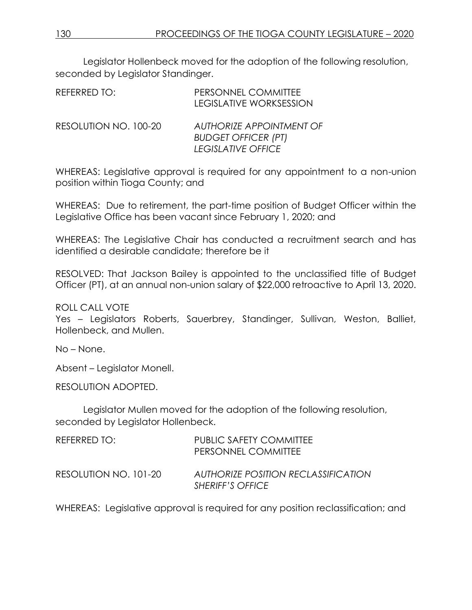Legislator Hollenbeck moved for the adoption of the following resolution, seconded by Legislator Standinger.

| REFERRED TO:          | PERSONNEL COMMITTEE<br><b>LEGISLATIVE WORKSESSION</b>                               |
|-----------------------|-------------------------------------------------------------------------------------|
| RESOLUTION NO. 100-20 | AUTHORIZE APPOINTMENT OF<br><b>BUDGET OFFICER (PT)</b><br><b>LEGISLATIVE OFFICE</b> |

WHEREAS: Legislative approval is required for any appointment to a non-union position within Tioga County; and

WHEREAS: Due to retirement, the part-time position of Budget Officer within the Legislative Office has been vacant since February 1, 2020; and

WHEREAS: The Legislative Chair has conducted a recruitment search and has identified a desirable candidate; therefore be it

RESOLVED: That Jackson Bailey is appointed to the unclassified title of Budget Officer (PT), at an annual non-union salary of \$22,000 retroactive to April 13, 2020.

ROLL CALL VOTE

Yes - Legislators Roberts, Sauerbrey, Standinger, Sullivan, Weston, Balliet, Hollenbeck, and Mullen.

No – None.

Absent – Legislator Monell.

RESOLUTION ADOPTED.

Legislator Mullen moved for the adoption of the following resolution, seconded by Legislator Hollenbeck.

| REFERRED TO:          | <b>PUBLIC SAFETY COMMITTEE</b><br>PERSONNEL COMMITTEE   |
|-----------------------|---------------------------------------------------------|
| RESOLUTION NO. 101-20 | AUTHORIZE POSITION RECLASSIFICATION<br>SHERIFF'S OFFICE |

WHEREAS: Legislative approval is required for any position reclassification; and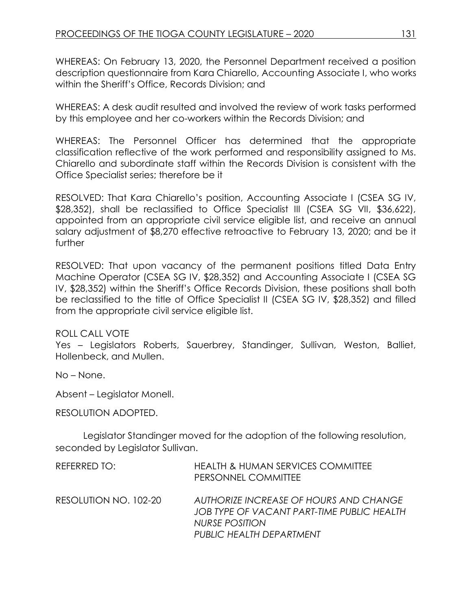WHEREAS: On February 13, 2020, the Personnel Department received a position description questionnaire from Kara Chiarello, Accounting Associate I, who works within the Sheriff's Office, Records Division; and

WHEREAS: A desk audit resulted and involved the review of work tasks performed by this employee and her co-workers within the Records Division; and

WHEREAS: The Personnel Officer has determined that the appropriate classification reflective of the work performed and responsibility assigned to Ms. Chiarello and subordinate staff within the Records Division is consistent with the Office Specialist series; therefore be it

RESOLVED: That Kara Chiarello's position, Accounting Associate I (CSEA SG IV, \$28,352), shall be reclassified to Office Specialist III (CSEA SG VII, \$36,622), appointed from an appropriate civil service eligible list, and receive an annual salary adjustment of \$8,270 effective retroactive to February 13, 2020; and be it further

RESOLVED: That upon vacancy of the permanent positions titled Data Entry Machine Operator (CSEA SG IV, \$28,352) and Accounting Associate I (CSEA SG IV, \$28,352) within the Sheriff's Office Records Division, these positions shall both be reclassified to the title of Office Specialist II (CSEA SG IV, \$28,352) and filled from the appropriate civil service eligible list.

## ROLL CALL VOTE

Yes – Legislators Roberts, Sauerbrey, Standinger, Sullivan, Weston, Balliet, Hollenbeck, and Mullen.

No – None.

Absent – Legislator Monell.

RESOLUTION ADOPTED.

Legislator Standinger moved for the adoption of the following resolution, seconded by Legislator Sullivan.

| REFERRED TO:          | <b>HEALTH &amp; HUMAN SERVICES COMMITTEE</b><br>PERSONNEL COMMITTEE                                                                |
|-----------------------|------------------------------------------------------------------------------------------------------------------------------------|
| RESOLUTION NO. 102-20 | AUTHORIZE INCREASE OF HOURS AND CHANGE<br>JOB TYPE OF VACANT PART-TIME PUBLIC HEALTH<br>NURSE POSITION<br>PUBLIC HEALTH DEPARTMENT |